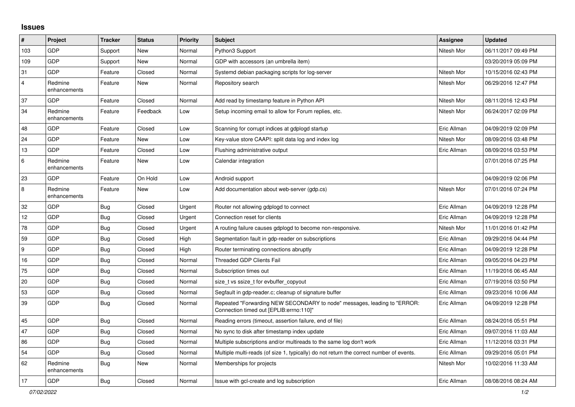## **Issues**

| #                | Project                 | <b>Tracker</b> | <b>Status</b> | <b>Priority</b> | <b>Subject</b>                                                                                                      | <b>Assignee</b> | <b>Updated</b>      |
|------------------|-------------------------|----------------|---------------|-----------------|---------------------------------------------------------------------------------------------------------------------|-----------------|---------------------|
| 103              | GDP                     | Support        | New           | Normal          | Python3 Support                                                                                                     | Nitesh Mor      | 06/11/2017 09:49 PM |
| 109              | <b>GDP</b>              | Support        | New           | Normal          | GDP with accessors (an umbrella item)                                                                               |                 | 03/20/2019 05:09 PM |
| 31               | <b>GDP</b>              | Feature        | Closed        | Normal          | Systemd debian packaging scripts for log-server                                                                     | Nitesh Mor      | 10/15/2016 02:43 PM |
| $\overline{4}$   | Redmine<br>enhancements | Feature        | New           | Normal          | Repository search                                                                                                   | Nitesh Mor      | 06/29/2016 12:47 PM |
| 37               | GDP                     | Feature        | Closed        | Normal          | Add read by timestamp feature in Python API                                                                         | Nitesh Mor      | 08/11/2016 12:43 PM |
| 34               | Redmine<br>enhancements | Feature        | Feedback      | Low             | Setup incoming email to allow for Forum replies, etc.                                                               | Nitesh Mor      | 06/24/2017 02:09 PM |
| 48               | <b>GDP</b>              | Feature        | Closed        | Low             | Scanning for corrupt indices at gdplogd startup                                                                     | Eric Allman     | 04/09/2019 02:09 PM |
| 24               | <b>GDP</b>              | Feature        | <b>New</b>    | Low             | Key-value store CAAPI: split data log and index log                                                                 | Nitesh Mor      | 08/09/2016 03:48 PM |
| 13               | <b>GDP</b>              | Feature        | Closed        | Low             | Flushing administrative output                                                                                      | Eric Allman     | 08/09/2016 03:53 PM |
| 6                | Redmine<br>enhancements | Feature        | New           | Low             | Calendar integration                                                                                                |                 | 07/01/2016 07:25 PM |
| 23               | GDP                     | Feature        | On Hold       | Low             | Android support                                                                                                     |                 | 04/09/2019 02:06 PM |
| 8                | Redmine<br>enhancements | Feature        | New           | Low             | Add documentation about web-server (gdp.cs)                                                                         | Nitesh Mor      | 07/01/2016 07:24 PM |
| 32               | <b>GDP</b>              | <b>Bug</b>     | Closed        | Urgent          | Router not allowing gdplogd to connect                                                                              | Eric Allman     | 04/09/2019 12:28 PM |
| 12               | <b>GDP</b>              | <b>Bug</b>     | Closed        | Urgent          | Connection reset for clients                                                                                        | Eric Allman     | 04/09/2019 12:28 PM |
| 78               | <b>GDP</b>              | <b>Bug</b>     | Closed        | Urgent          | A routing failure causes gdplogd to become non-responsive.                                                          | Nitesh Mor      | 11/01/2016 01:42 PM |
| 59               | GDP                     | Bug            | Closed        | High            | Segmentation fault in gdp-reader on subscriptions                                                                   | Eric Allman     | 09/29/2016 04:44 PM |
| $\boldsymbol{9}$ | GDP                     | <b>Bug</b>     | Closed        | High            | Router terminating connections abruptly                                                                             | Eric Allman     | 04/09/2019 12:28 PM |
| 16               | <b>GDP</b>              | <b>Bug</b>     | Closed        | Normal          | <b>Threaded GDP Clients Fail</b>                                                                                    | Eric Allman     | 09/05/2016 04:23 PM |
| 75               | <b>GDP</b>              | <b>Bug</b>     | Closed        | Normal          | Subscription times out                                                                                              | Eric Allman     | 11/19/2016 06:45 AM |
| 20               | <b>GDP</b>              | <b>Bug</b>     | Closed        | Normal          | size_t vs ssize_t for evbuffer_copyout                                                                              | Eric Allman     | 07/19/2016 03:50 PM |
| 53               | GDP                     | <b>Bug</b>     | Closed        | Normal          | Segfault in gdp-reader.c; cleanup of signature buffer                                                               | Eric Allman     | 09/23/2016 10:06 AM |
| 39               | <b>GDP</b>              | Bug            | Closed        | Normal          | Repeated "Forwarding NEW SECONDARY to node" messages, leading to "ERROR:<br>Connection timed out [EPLIB:errno:110]" | Eric Allman     | 04/09/2019 12:28 PM |
| 45               | <b>GDP</b>              | <b>Bug</b>     | Closed        | Normal          | Reading errors (timeout, assertion failure, end of file)                                                            | Eric Allman     | 08/24/2016 05:51 PM |
| 47               | GDP                     | <b>Bug</b>     | Closed        | Normal          | No sync to disk after timestamp index update                                                                        | Eric Allman     | 09/07/2016 11:03 AM |
| 86               | <b>GDP</b>              | <b>Bug</b>     | Closed        | Normal          | Multiple subscriptions and/or multireads to the same log don't work                                                 | Eric Allman     | 11/12/2016 03:31 PM |
| 54               | GDP                     | <b>Bug</b>     | Closed        | Normal          | Multiple multi-reads (of size 1, typically) do not return the correct number of events.                             | Eric Allman     | 09/29/2016 05:01 PM |
| 62               | Redmine<br>enhancements | <b>Bug</b>     | New           | Normal          | Memberships for projects                                                                                            | Nitesh Mor      | 10/02/2016 11:33 AM |
| 17               | GDP                     | Bug            | Closed        | Normal          | Issue with gcl-create and log subscription                                                                          | Eric Allman     | 08/08/2016 08:24 AM |